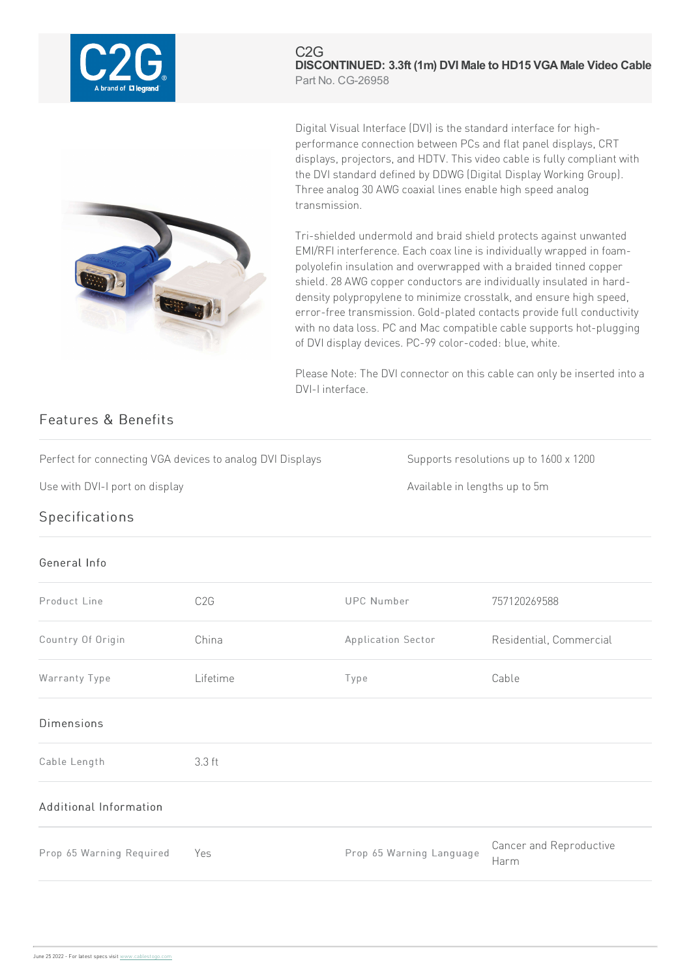

#### C2G **DISCONTINUED: 3.3ft (1m) DVI Male to HD15 VGA Male Video Cable** Part No. CG-26958

Digital Visual Interface (DVI) is the standard interface for highperformance connection between PCs and flat panel displays, CRT displays, projectors, and HDTV. This video cable is fully compliant with the DVI standard defined by DDWG (Digital Display Working Group). Three analog 30 AWG coaxial lines enable high speed analog transmission.

Tri-shielded undermold and braid shield protects against unwanted EMI/RFI interference. Each coax line is individually wrapped in foampolyolefin insulation and overwrapped with a braided tinned copper shield. 28 AWG copper conductors are individually insulated in harddensity polypropylene to minimize crosstalk, and ensure high speed, error-free transmission. Gold-plated contacts provide full conductivity with no data loss. PC and Mac compatible cable supports hot-plugging of DVI display devices. PC-99 color-coded: blue, white.

Please Note: The DVI connector on this cable can only be inserted into a DVI-I interface.

# Features & Benefits

Perfect for connecting VGA devices to analog DVI Displays Supports resolutions up to  $1600 \times 1200$ 

Use with DVI-I port on display and the state of the state of the Available in lengths up to 5m

# **Specifications**

### General Info

| C <sub>2</sub> G |                          |                                 |
|------------------|--------------------------|---------------------------------|
|                  | <b>UPC Number</b>        | 757120269588                    |
| China            | Application Sector       | Residential, Commercial         |
| Lifetime         | Type                     | Cable                           |
|                  |                          |                                 |
| 3.3 ft           |                          |                                 |
|                  |                          |                                 |
| Yes              | Prop 65 Warning Language | Cancer and Reproductive<br>Harm |
|                  |                          |                                 |